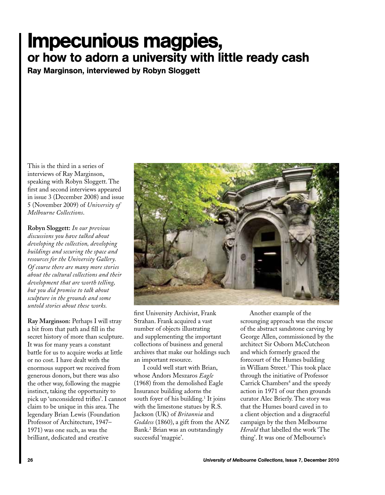## Impecunious magpies, or how to adorn a university with little ready cash

Ray Marginson, interviewed by Robyn Sloggett

This is the third in a series of interviews of Ray Marginson, speaking with Robyn Sloggett. The first and second interviews appeared in issue 3 (December 2008) and issue 5 (November 2009) of *University of Melbourne Collections*.

**Robyn Sloggett:** *In our previous discussions you have talked about developing the collection, developing buildings and securing the space and resources for the University Gallery. Of course there are many more stories about the cultural collections and their development that are worth telling, but you did promise to talk about sculpture in the grounds and some untold stories about these works.*

**Ray Marginson:** Perhaps I will stray a bit from that path and fill in the secret history of more than sculpture. It was for many years a constant battle for us to acquire works at little or no cost. I have dealt with the enormous support we received from generous donors, but there was also the other way, following the magpie instinct, taking the opportunity to pick up 'unconsidered trifles'. I cannot claim to be unique in this area. The legendary Brian Lewis (Foundation Professor of Architecture, 1947– 1971) was one such, as was the brilliant, dedicated and creative



first University Archivist, Frank Strahan. Frank acquired a vast number of objects illustrating and supplementing the important collections of business and general archives that make our holdings such an important resource.

I could well start with Brian, whose Andors Meszaros *Eagle* (1968) from the demolished Eagle Insurance building adorns the south foyer of his building.<sup>1</sup> It joins with the limestone statues by R.S. Jackson (UK) of *Britannia* and *Goddess* (1860), a gift from the ANZ Bank.2 Brian was an outstandingly successful 'magpie'.

Another example of the scrounging approach was the rescue of the abstract sandstone carving by George Allen, commissioned by the architect Sir Osborn McCutcheon and which formerly graced the forecourt of the Humes building in William Street.3 This took place through the initiative of Professor Carrick Chambers<sup>4</sup> and the speedy action in 1971 of our then grounds curator Alec Brierly. The story was that the Humes board caved in to a client objection and a disgraceful campaign by the then Melbourne *Herald* that labelled the work 'The thing'. It was one of Melbourne's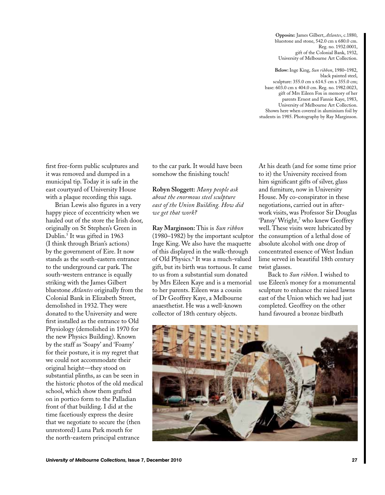**Opposite:** James Gilbert, *Atlantes*, c.1880, bluestone and stone, 542.0 cm x 680.0 cm. Reg. no. 1932.0001, gift of the Colonial Bank, 1932, University of Melbourne Art Collection.

**Below:** Inge King, *Sun ribbon*, 1980–1982, black painted steel, sculpture: 355.0 cm x 614.5 cm x 355.0 cm; base: 603.0 cm x 404.0 cm. Reg. no. 1982.0023, gift of Mrs Eileen Fox in memory of her parents Ernest and Fannie Kaye, 1983, University of Melbourne Art Collection. Shown here when covered in aluminium foil by students in 1985. Photography by Ray Marginson.

first free-form public sculptures and it was removed and dumped in a municipal tip. Today it is safe in the east courtyard of University House with a plaque recording this saga.

Brian Lewis also figures in a very happy piece of eccentricity when we hauled out of the store the Irish door, originally on St Stephen's Green in Dublin.5 It was gifted in 1963 (I think through Brian's actions) by the government of Eire. It now stands as the south-eastern entrance to the underground car park. The south-western entrance is equally striking with the James Gilbert bluestone *Atlantes* originally from the Colonial Bank in Elizabeth Street, demolished in 1932. They were donated to the University and were first installed as the entrance to Old Physiology (demolished in 1970 for the new Physics Building). Known by the staff as 'Soapy' and 'Foamy' for their posture, it is my regret that we could not accommodate their original height—they stood on substantial plinths, as can be seen in the historic photos of the old medical school, which show them grafted on in portico form to the Palladian front of that building. I did at the time facetiously express the desire that we negotiate to secure the (then unrestored) Luna Park mouth for the north-eastern principal entrance

to the car park. It would have been somehow the finishing touch!

**Robyn Sloggett:** *Many people ask about the enormous steel sculpture east of the Union Building. How did we get that work?*

**Ray Marginson:** This is *Sun ribbon* (1980–1982) by the important sculptor Inge King. We also have the maquette of this displayed in the walk-through of Old Physics.6 It was a much-valued gift, but its birth was tortuous. It came to us from a substantial sum donated by Mrs Eileen Kaye and is a memorial to her parents. Eileen was a cousin of Dr Geoffrey Kaye, a Melbourne anaesthetist. He was a well-known collector of 18th century objects.

At his death (and for some time prior to it) the University received from him significant gifts of silver, glass and furniture, now in University House. My co-conspirator in these negotiations, carried out in afterwork visits, was Professor Sir Douglas 'Pansy' Wright,<sup>7</sup> who knew Geoffrey well. These visits were lubricated by the consumption of a lethal dose of absolute alcohol with one drop of concentrated essence of West Indian lime served in beautiful 18th century twist glasses.

Back to *Sun ribbon*. I wished to use Eileen's money for a monumental sculpture to enhance the raised lawns east of the Union which we had just completed. Geoffrey on the other hand favoured a bronze birdbath

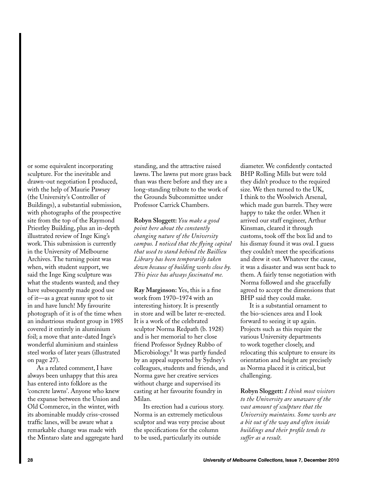or some equivalent incorporating sculpture. For the inevitable and drawn-out negotiation I produced, with the help of Maurie Pawsey (the University's Controller of Buildings), a substantial submission, with photographs of the prospective site from the top of the Raymond Priestley Building, plus an in-depth illustrated review of Inge King's work. This submission is currently in the University of Melbourne Archives. The turning point was when, with student support, we said the Inge King sculpture was what the students wanted; and they have subsequently made good use of it—as a great sunny spot to sit in and have lunch! My favourite photograph of it is of the time when an industrious student group in 1985 covered it entirely in aluminium foil; a move that ante-dated Inge's wonderful aluminium and stainless steel works of later years (illustrated on page 27).

As a related comment, I have always been unhappy that this area has entered into folklore as the 'concrete lawns'. Anyone who knew the expanse between the Union and Old Commerce, in the winter, with its abominable muddy criss-crossed traffic lanes, will be aware what a remarkable change was made with the Mintaro slate and aggregate hard standing, and the attractive raised lawns. The lawns put more grass back than was there before and they are a long-standing tribute to the work of the Grounds Subcommittee under Professor Carrick Chambers.

**Robyn Sloggett:** *You make a good point here about the constantly changing nature of the University campus. I noticed that the flying capital that used to stand behind the Baillieu Library has been temporarily taken down because of building works close by. This piece has always fascinated me.*

**Ray Marginson:** Yes, this is a fine work from 1970–1974 with an interesting history. It is presently in store and will be later re-erected. It is a work of the celebrated sculptor Norma Redpath (b. 1928) and is her memorial to her close friend Professor Sydney Rubbo of Microbiology.8 It was partly funded by an appeal supported by Sydney's colleagues, students and friends, and Norma gave her creative services without charge and supervised its casting at her favourite foundry in Milan.

Its erection had a curious story. Norma is an extremely meticulous sculptor and was very precise about the specifications for the column to be used, particularly its outside

diameter. We confidently contacted BHP Rolling Mills but were told they didn't produce to the required size. We then turned to the UK, I think to the Woolwich Arsenal, which made gun barrels. They were happy to take the order. When it arrived our staff engineer, Arthur Kinsman, cleared it through customs, took off the box lid and to his dismay found it was oval. I guess they couldn't meet the specifications and drew it out. Whatever the cause, it was a disaster and was sent back to them. A fairly tense negotiation with Norma followed and she gracefully agreed to accept the dimensions that BHP said they could make.

It is a substantial ornament to the bio-sciences area and I look forward to seeing it up again. Projects such as this require the various University departments to work together closely, and relocating this sculpture to ensure its orientation and height are precisely as Norma placed it is critical, but challenging.

**Robyn Sloggett:** *I think most visitors to the University are unaware of the vast amount of sculpture that the University maintains. Some works are a bit out of the way and often inside buildings and their profile tends to suffer as a result.*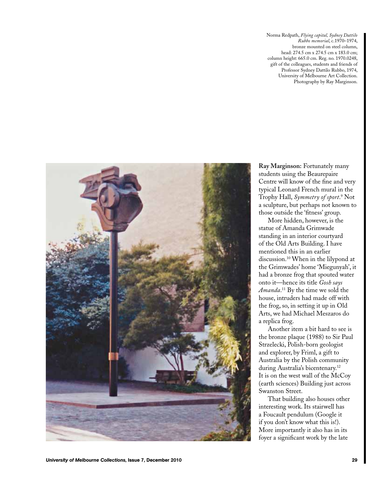Norma Redpath, *Flying capital, Sydney Dattilo Rubbo memorial*, c.1970–1974, bronze mounted on steel column, head: 274.5 cm x 274.5 cm x 183.0 cm; column height: 665.0 cm. Reg. no. 1970.0248, gift of the colleagues, students and friends of Professor Sydney Dattilo Rubbo, 1974, University of Melbourne Art Collection. Photography by Ray Marginson.



**Ray Marginson:** Fortunately many students using the Beaurepaire Centre will know of the fine and very typical Leonard French mural in the Trophy Hall, *Symmetry of sport*. 9 Not a sculpture, but perhaps not known to those outside the 'fitness' group.

More hidden, however, is the statue of Amanda Grimwade standing in an interior courtyard of the Old Arts Building. I have mentioned this in an earlier discussion.10 When in the lilypond at the Grimwades' home 'Miegunyah', it had a bronze frog that spouted water onto it—hence its title *Gosh says Amanda*. 11 By the time we sold the house, intruders had made off with the frog, so, in setting it up in Old Arts, we had Michael Meszaros do a replica frog.

Another item a bit hard to see is the bronze plaque (1988) to Sir Paul Strzelecki, Polish-born geologist and explorer, by Friml, a gift to Australia by the Polish community during Australia's bicentenary.<sup>12</sup> It is on the west wall of the McCoy (earth sciences) Building just across Swanston Street.

That building also houses other interesting work. Its stairwell has a Foucault pendulum (Google it if you don't know what this is!). More importantly it also has in its foyer a significant work by the late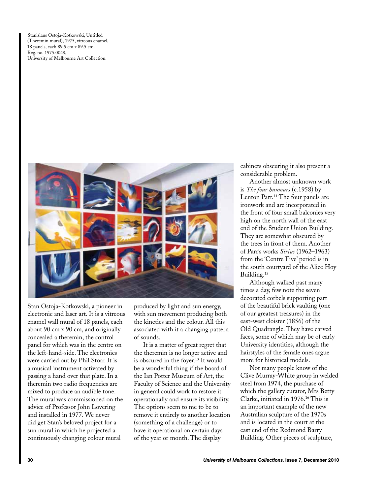Stanislaus Ostoja-Kotkowski, Untitled (Theremin mural), 1975, vitreous enamel, 18 panels, each 89.5 cm x 89.5 cm. Reg. no. 1975.0048, University of Melbourne Art Collection.



Stan Ostoja-Kotkowski, a pioneer in electronic and laser art. It is a vitreous enamel wall mural of 18 panels, each about 90 cm x 90 cm, and originally concealed a theremin, the control panel for which was in the centre on the left-hand-side. The electronics were carried out by Phil Storr. It is a musical instrument activated by passing a hand over that plate. In a theremin two radio frequencies are mixed to produce an audible tone. The mural was commissioned on the advice of Professor John Lovering and installed in 1977. We never did get Stan's beloved project for a sun mural in which he projected a continuously changing colour mural

produced by light and sun energy, with sun movement producing both the kinetics and the colour. All this associated with it a changing pattern of sounds.

It is a matter of great regret that the theremin is no longer active and is obscured in the foyer.<sup>13</sup> It would be a wonderful thing if the board of the Ian Potter Museum of Art, the Faculty of Science and the University in general could work to restore it operationally and ensure its visibility. The options seem to me to be to remove it entirely to another location (something of a challenge) or to have it operational on certain days of the year or month. The display

cabinets obscuring it also present a considerable problem.

Another almost unknown work is *The four humours* (c.1958) by Lenton Parr.14 The four panels are ironwork and are incorporated in the front of four small balconies very high on the north wall of the east end of the Student Union Building. They are somewhat obscured by the trees in front of them. Another of Parr's works *Sirius* (1962–1963) from the 'Centre Five' period is in the south courtyard of the Alice Hoy Building.<sup>15</sup>

Although walked past many times a day, few note the seven decorated corbels supporting part of the beautiful brick vaulting (one of our greatest treasures) in the east-west cloister (1856) of the Old Quadrangle. They have carved faces, some of which may be of early University identities, although the hairstyles of the female ones argue more for historical models.

Not many people know of the Clive Murray-White group in welded steel from 1974, the purchase of which the gallery curator, Mrs Betty Clarke, initiated in 1976.16 This is an important example of the new Australian sculpture of the 1970s and is located in the court at the east end of the Redmond Barry Building. Other pieces of sculpture,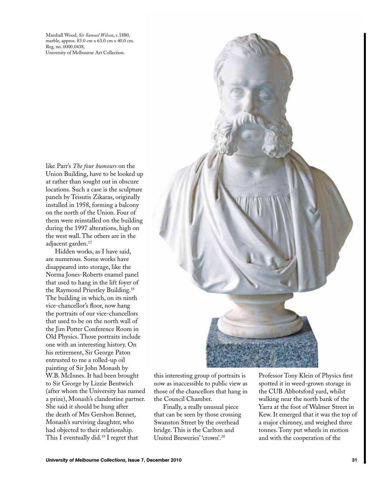Marshall Wood, *Sir Samuel Wilson*, c.1880, marble, approx. 83.0 cm x 63.0 cm x 40.0 cm. Reg. no. 0000.0438, University of Melbourne Art Collection.

like Parr's *The four humours* on the Union Building, have to be looked up at rather than sought out in obscure locations. Such a case is the sculpture panels by Teisutis Zikaras, originally installed in 1958, forming a balcony on the north of the Union. Four of them were reinstalled on the building during the 1997 alterations, high on the west wall. The others are in the adjacent garden.<sup>17</sup>

Hidden works, as I have said, are numerous. Some works have disappeared into storage, like the Norma Jones-Roberts enamel panel that used to hang in the lift foyer of the Raymond Priestley Building.18 The building in which, on its ninth vice-chancellor's floor, now hang the portraits of our vice-chancellors that used to be on the north wall of the Jim Potter Conference Room in Old Physics. Those portraits include one with an interesting history. On his retirement, Sir George Paton entrusted to me a rolled-up oil painting of Sir John Monash by W.B. McInnes. It had been brought to Sir George by Lizzie Bentwich (after whom the University has named a prize), Monash's clandestine partner. She said it should be hung after the death of Mrs Gershon Bennet, Monash's surviving daughter, who had objected to their relationship. This I eventually did.19 I regret that



this interesting group of portraits is now as inaccessible to public view as those of the chancellors that hang in the Council Chamber.

Finally, a really unusual piece that can be seen by those crossing Swanston Street by the overhead bridge. This is the Carlton and United Breweries' 'crown'.20

Professor Tony Klein of Physics first spotted it in weed-grown storage in the CUB Abbotsford yard, whilst walking near the north bank of the Yarra at the foot of Walmer Street in Kew. It emerged that it was the top of a major chimney, and weighed three tonnes. Tony put wheels in motion and with the cooperation of the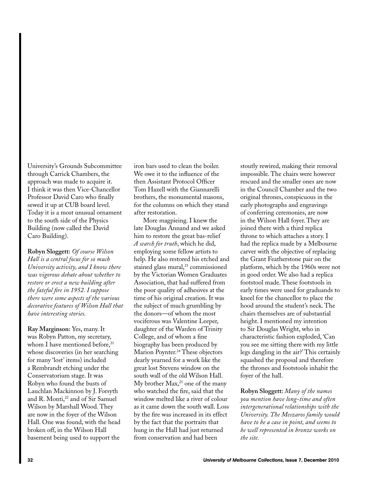University's Grounds Subcommittee through Carrick Chambers, the approach was made to acquire it. I think it was then Vice-Chancellor Professor David Caro who finally sewed it up at CUB board level. Today it is a most unusual ornament to the south side of the Physics Building (now called the David Caro Building).

**Robyn Sloggett:** *Of course Wilson Hall is a central focus for so much University activity, and I know there was vigorous debate about whether to restore or erect a new building after the fateful fire in 1952. I suppose there were some aspects of the various decorative features of Wilson Hall that have interesting stories.*

**Ray Marginson:** Yes, many. It was Robyn Patton, my secretary, whom I have mentioned before, $21$ whose discoveries (in her searching for many 'lost' items) included a Rembrandt etching under the Conservatorium stage. It was Robyn who found the busts of Lauchlan Mackinnon by J. Forsyth and R. Monti,<sup>22</sup> and of Sir Samuel Wilson by Marshall Wood. They are now in the foyer of the Wilson Hall. One was found, with the head broken off, in the Wilson Hall basement being used to support the

iron bars used to clean the boiler. We owe it to the influence of the then Assistant Protocol Officer Tom Hazell with the Giannarelli brothers, the monumental masons, for the columns on which they stand after restoration.

More magpieing. I knew the late Douglas Annand and we asked him to restore the great bas-relief *A search for truth*, which he did, employing some fellow artists to help. He also restored his etched and stained glass mural,<sup>23</sup> commissioned by the Victorian Women Graduates Association, that had suffered from the poor quality of adhesives at the time of his original creation. It was the subject of much grumbling by the donors—of whom the most vociferous was Valentine Leeper, daughter of the Warden of Trinity College, and of whom a fine biography has been produced by Marion Poynter.<sup>24</sup> These objectors dearly yearned for a work like the great lost Stevens window on the south wall of the old Wilson Hall. My brother  $Max<sub>1</sub><sup>25</sup>$  one of the many who watched the fire, said that the window melted like a river of colour as it came down the south wall. Loss by the fire was increased in its effect by the fact that the portraits that hung in the Hall had just returned from conservation and had been

stoutly rewired, making their removal impossible. The chairs were however rescued and the smaller ones are now in the Council Chamber and the two original thrones, conspicuous in the early photographs and engravings of conferring ceremonies, are now in the Wilson Hall foyer. They are joined there with a third replica throne to which attaches a story. I had the replica made by a Melbourne carver with the objective of replacing the Grant Featherstone pair on the platform, which by the 1960s were not in good order. We also had a replica footstool made. These footstools in early times were used for graduands to kneel for the chancellor to place the hood around the student's neck. The chairs themselves are of substantial height. I mentioned my intention to Sir Douglas Wright, who in characteristic fashion exploded, 'Can you see me sitting there with my little legs dangling in the air?' This certainly squashed the proposal and therefore the thrones and footstools inhabit the foyer of the hall.

**Robyn Sloggett:** *Many of the names you mention have long-time and often intergenerational relationships with the University. The Meszaros family would have to be a case in point, and seems to be well represented in bronze works on the site.*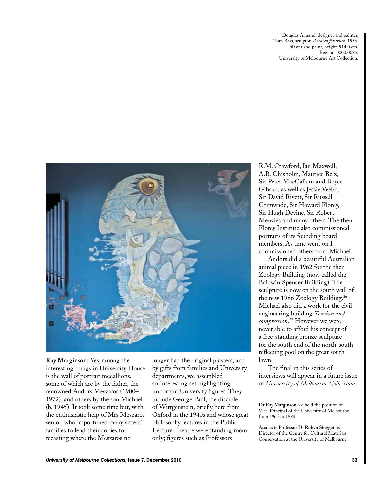Douglas Annand, designer and painter, Tom Bass, sculptor, *A search for truth*, 1956, plaster and paint, height: 914.0 cm. Reg. no. 0000.0085, University of Melbourne Art Collection.



**Ray Marginson:** Yes, among the interesting things in University House is the wall of portrait medallions, some of which are by the father, the renowned Andors Meszaros (1900– 1972), and others by the son Michael (b. 1945). It took some time but, with the enthusiastic help of Mrs Meszaros senior, who importuned many sitters' families to lend their copies for recasting where the Meszaros no

longer had the original plasters, and by gifts from families and University departments, we assembled an interesting set highlighting important University figures. They include George Paul, the disciple of Wittgenstein, briefly here from Oxford in the 1940s and whose great philosophy lectures in the Public Lecture Theatre were standing room only; figures such as Professors

R.M. Crawford, Ian Maxwell, A.R. Chisholm, Maurice Belz, Sir Peter MacCallum and Boyce Gibson, as well as Jessie Webb, Sir David Rivett, Sir Russell Grimwade, Sir Howard Florey, Sir Hugh Devine, Sir Robert Menzies and many others. The then Florey Institute also commissioned portraits of its founding board members. As time went on I commissioned others from Michael.

Andors did a beautiful Australian animal piece in 1962 for the then Zoology Building (now called the Baldwin Spencer Building). The sculpture is now on the south wall of the new 1986 Zoology Building.<sup>26</sup> Michael also did a work for the civil engineering building *Tension and compression*. 27 However we were never able to afford his concept of a free-standing bronze sculpture for the south end of the north-south reflecting pool on the great south lawn.

The final in this series of interviews will appear in a future issue of *University of Melbourne Collections*.

**Dr Ray Marginson** AM held the position of Vice-Principal of the University of Melbourne from 1965 to 1988.

**Associate Professor Dr Robyn Sloggett** is Director of the Centre for Cultural Materials Conservation at the University of Melbourne.